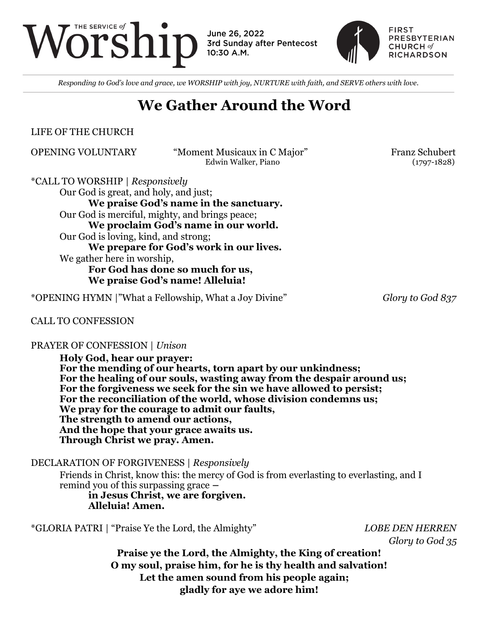

June 26, 2022 3rd Sunday after Pentecost 10:30 A.M.



*Responding to God's love and grace, we WORSHIP with joy, NURTURE with faith, and SERVE others with love.*

## **We Gather Around the Word**

LIFE OF THE CHURCH

OPENING VOLUNTARY "Moment Musicaux in C Major" Franz Schubert Edwin Walker, Piano (1797-1828)

\*CALL TO WORSHIP | *Responsively*

Our God is great, and holy, and just;

**We praise God's name in the sanctuary.** Our God is merciful, mighty, and brings peace; **We proclaim God's name in our world.** Our God is loving, kind, and strong; **We prepare for God's work in our lives.** We gather here in worship, **For God has done so much for us, We praise God's name! Alleluia!**

\*OPENING HYMN |"What a Fellowship, What a Joy Divine" *Glory to God 837*

### CALL TO CONFESSION

#### PRAYER OF CONFESSION | *Unison*

**Holy God, hear our prayer: For the mending of our hearts, torn apart by our unkindness; For the healing of our souls, wasting away from the despair around us; For the forgiveness we seek for the sin we have allowed to persist; For the reconciliation of the world, whose division condemns us; We pray for the courage to admit our faults, The strength to amend our actions, And the hope that your grace awaits us. Through Christ we pray. Amen.**

DECLARATION OF FORGIVENESS | *Responsively*

Friends in Christ, know this: the mercy of God is from everlasting to everlasting, and I remind you of this surpassing grace **–**

**in Jesus Christ, we are forgiven. Alleluia! Amen.**

\*GLORIA PATRI | "Praise Ye the Lord, the Almighty" *LOBE DEN HERREN*

*Glory to God 35*

**Praise ye the Lord, the Almighty, the King of creation! O my soul, praise him, for he is thy health and salvation! Let the amen sound from his people again; gladly for aye we adore him!**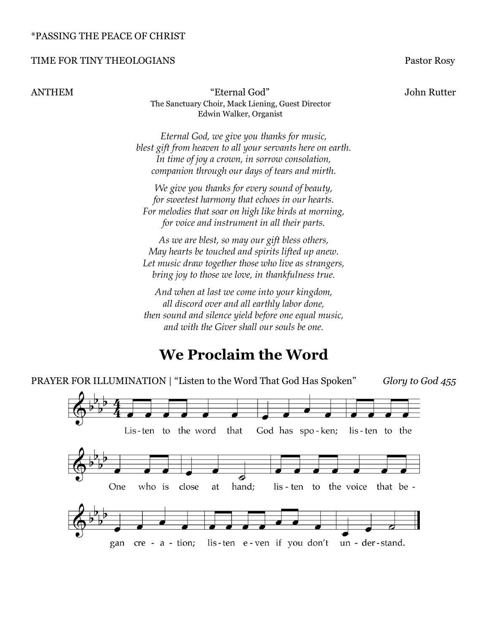#### \*PASSING THE PEACE OF CHRIST

#### TIME FOR TINY THEOLOGIANS Pastor Rosy

ANTHEM "Eternal God" John Rutter The Sanctuary Choir, Mack Liening, Guest Director Edwin Walker, Organist

> *Eternal God, we give you thanks for music, blest gift from heaven to all your servants here on earth. In time of joy a crown, in sorrow consolation, companion through our days of tears and mirth.*

*We give you thanks for every sound of beauty, for sweetest harmony that echoes in our hearts. For melodies that soar on high like birds at morning, for voice and instrument in all their parts.*

*As we are blest, so may our gift bless others, May hearts be touched and spirits lifted up anew. Let music draw together those who live as strangers, bring joy to those we love, in thankfulness true.*

*And when at last we come into your kingdom, all discord over and all earthly labor done, then sound and silence yield before one equal music, and with the Giver shall our souls be one.*

## **We Proclaim the Word**

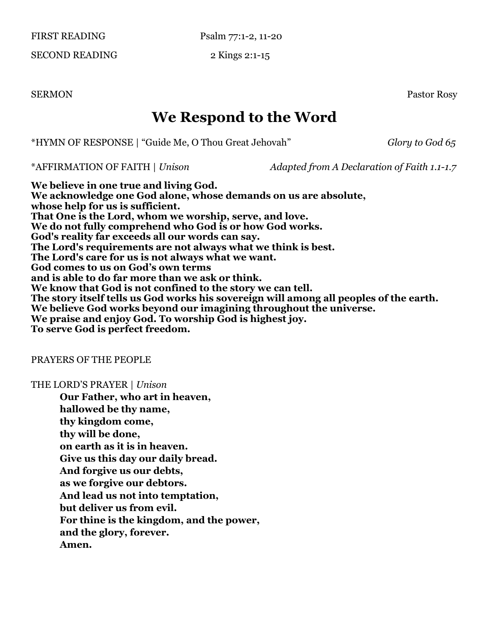FIRST READING Psalm 77:1-2, 11-20

SECOND READING 2 Kings 2:1-15

SERMON Pastor Rosy

# **We Respond to the Word**

\*HYMN OF RESPONSE | "Guide Me, O Thou Great Jehovah" *Glory to God 65* 

\*AFFIRMATION OF FAITH | *Unison Adapted from A Declaration of Faith 1.1-1.7*

**We believe in one true and living God. We acknowledge one God alone, whose demands on us are absolute, whose help for us is sufficient. That One is the Lord, whom we worship, serve, and love. We do not fully comprehend who God is or how God works. God's reality far exceeds all our words can say. The Lord's requirements are not always what we think is best. The Lord's care for us is not always what we want. God comes to us on God's own terms and is able to do far more than we ask or think. We know that God is not confined to the story we can tell. The story itself tells us God works his sovereign will among all peoples of the earth. We believe God works beyond our imagining throughout the universe. We praise and enjoy God. To worship God is highest joy. To serve God is perfect freedom.** 

#### PRAYERS OF THE PEOPLE

#### THE LORD'S PRAYER | *Unison*

**Our Father, who art in heaven, hallowed be thy name, thy kingdom come, thy will be done, on earth as it is in heaven. Give us this day our daily bread. And forgive us our debts, as we forgive our debtors. And lead us not into temptation, but deliver us from evil. For thine is the kingdom, and the power, and the glory, forever. Amen.**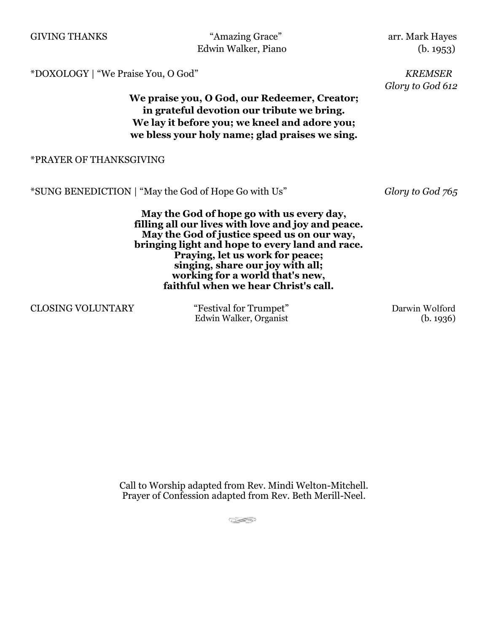| <b>GIVING THANKS</b>                                                                                                                                                                                                                                                                                                                                | Edwin Walker, Piano                                  | "Amazing Grace" | arr. Mark Hayes<br>(b. 1953)       |
|-----------------------------------------------------------------------------------------------------------------------------------------------------------------------------------------------------------------------------------------------------------------------------------------------------------------------------------------------------|------------------------------------------------------|-----------------|------------------------------------|
| *DOXOLOGY   "We Praise You, O God"<br>We praise you, O God, our Redeemer, Creator;<br>in grateful devotion our tribute we bring.<br>We lay it before you; we kneel and adore you;<br>we bless your holy name; glad praises we sing.                                                                                                                 |                                                      |                 | <b>KREMSER</b><br>Glory to God 612 |
| *PRAYER OF THANKSGIVING                                                                                                                                                                                                                                                                                                                             |                                                      |                 |                                    |
|                                                                                                                                                                                                                                                                                                                                                     | *SUNG BENEDICTION   "May the God of Hope Go with Us" |                 | Glory to God 765                   |
| May the God of hope go with us every day,<br>filling all our lives with love and joy and peace.<br>May the God of justice speed us on our way,<br>bringing light and hope to every land and race.<br>Praying, let us work for peace;<br>singing, share our joy with all;<br>working for a world that's new,<br>faithful when we hear Christ's call. |                                                      |                 |                                    |

CLOSING VOLUNTARY "Festival for Trumpet" Darwin Wolford

Edwin Walker, Organist (b. 1936)

Call to Worship adapted from Rev. Mindi Welton-Mitchell. Prayer of Confession adapted from Rev. Beth Merill-Neel.

 $\overline{C_{\rm{max}}(z)}$  and  $\overline{C_{\rm{max}}(z)}$